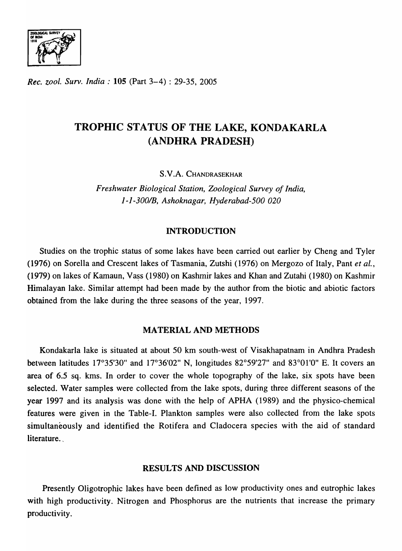

*Rec. zool. Surv. India:* 105 (Part 3-4) : 29-35, 2005

# TROPHIC STATUS OF THE LAKE, KONDAKARLA (ANDHRA PRADESH)

S.V.A. CHANDRASEKHAR

*Freshwater Biological Station, Zoological Survey of India, 1-1-300IB, Ashoknagar, Hyderabad-500 020* 

# INTRODUCTION

Studies on the trophic status of some lakes have been carried out earlier by Cheng and Tyler (1976) on Sorella and Crescent lakes of Tasmania, Zutshi (1976) on Mergozo of Italy, Pant *et ai.,*  (1979) on lakes of Kamaun, Vass (1980) on Kashmir lakes and Khan and Zutahi (1980) on Kashmir Himalayan lake. Similar attempt had been made by the author from the biotic and abiotic factors obtained from the lake during the three seasons of the year, 1997.

## MATERIAL AND METHODS

Kondakarla lake is situated at about 50 km south-west of Visakhapatnam in Andhra Pradesh between latitudes 17°35'30" and 17°36'02" N, longitudes 82°59'27" and 83°01 '0" E. It covers an area of 6.5 sq. kms. In order to cover the whole topography of the lake, six spots have been selected. Water samples were collected from the lake spots, during three different seasons of the year 1997 and its analysis was done with the help of APHA (1989) and the physico-chemical features were given in the Table-I. Plankton samples were also collected from the lake spots simultaneously and identified the Rotifera and Cladocera species with the aid of standard literature.

## RESULTS AND DISCUSSION

Presently Oligotrophic lakes have been defined as low productivity ones and eutrophic lakes with high productivity. Nitrogen and Phosphorus are the nutrients that increase the primary productivity.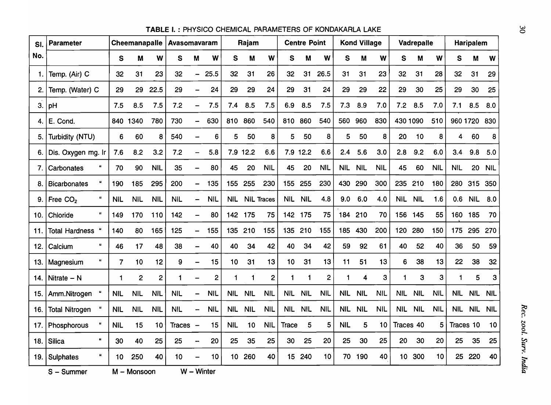| SI.  | <b>Parameter</b>                  |                      | Cheemanapalle  |                | Avasomavaram |                          |                | Rajam           |            | <b>Centre Point</b> |                  |            | <b>Kond Village</b> |            |            | Vadrepalle |                 |            | Haripalem  |                 |            |            |
|------|-----------------------------------|----------------------|----------------|----------------|--------------|--------------------------|----------------|-----------------|------------|---------------------|------------------|------------|---------------------|------------|------------|------------|-----------------|------------|------------|-----------------|------------|------------|
| No.  |                                   | S                    | M              | W              | S            | M                        | W              | S               | M          | W                   | S                | M          | W                   | S          | M          | W          | S               | M          | W          | S               | M          | W          |
| 1.   | Temp. (Air) C                     | 32                   | 31             | 23             | 32           | $\overline{\phantom{0}}$ | 25.5           | 32              | 31         | 26                  | 32               | 31         | 26.5                | 31         | 31         | 23         | 32              | 31         | 28         | 32              | 31         | 29         |
| 2.   | Temp. (Water) C                   | 29                   | 29             | 22.5           | 29           |                          | 24             | 29              | 29         | 24                  | 29               | 31         | 24                  | 29         | 29         | 22         | 29              | 30         | 25         | 29              | 30         | 25         |
| 3.   | pH                                | 7.5                  | 8.5            | 7.5            | 7.2          | $\overline{\phantom{0}}$ | 7.5            | 7.4             | 8.5        | 7.5                 | 6.9              | 8.5        | 7.5                 | 7.3        | 8.9        | 7.0        | 7.2             | 8.5        | 7.0        | 7.1             | 8.5        | 8.0        |
| 4.   | E. Cond.                          |                      | 840 1340       | 780            | 730          |                          | 630            | 810             | 860        | 540                 | 810              | 860        | 540                 | 560        | 960        | 830        | 430 1090        |            | 510        |                 | 960 1720   | 830        |
| 5.   | Turbidity (NTU)                   | 6                    | 60             | 8              | 540          | <u></u>                  | 6              | 5               | 50         | 8                   | 5                | 50         | 8                   | 5          | 50         | 8          | 20              | 10         | 8          | 4               | 60         | 8          |
| 6.   | Dis. Oxygen mg. Ir                | 7.6                  | 8.2            | 3.2            | 7.2          |                          | 5.8            |                 | 7.9 12.2   | 6.6                 |                  | 7.9 12.2   | 6.6                 | 2.4        | 5.6        | 3.0        | 2.8             | 9.2        | 6.0        | 3.4             | 9.8        | 5.0        |
| 7.   | Carbonates                        | 70                   | 90             | <b>NIL</b>     | 35           |                          | 80             | 45              | 20         | <b>NIL</b>          | 45               | 20         | <b>NIL</b>          | <b>NIL</b> | <b>NIL</b> | <b>NIL</b> | 45              | 60         | <b>NIL</b> | <b>NIL</b>      | 20         | <b>NIL</b> |
| 8.   | <b>Bicarbonates</b>               | 190                  | 185            | 295            | 200          | $\overline{\phantom{0}}$ | 135            | 155             | 255        | 230                 | 155              | 255        | 230                 | 430        | 290        | 300        | 235             | 210        | 180        | 280             | 315        | 350        |
| 9.1  | Free CO <sub>2</sub>              | <b>NIL</b>           | <b>NIL</b>     | <b>NIL</b>     | <b>NIL</b>   |                          | <b>NIL</b>     | <b>NIL</b>      |            | <b>NIL Traces</b>   | <b>NIL</b>       | <b>NIL</b> | 4.8                 | 9.0        | 6.0        | 4.0        | <b>NIL</b>      | <b>NIL</b> | 1.6        | 0.6             | <b>NIL</b> | 8.0        |
| 10.  | Chloride                          | 149                  | 170            | 110            | 142          | $\overline{\phantom{0}}$ | 80             |                 | 142 175    | 75                  | 142 175          |            | 75                  | 184        | 210        | 70         | 156             | 145        | 55         | 160             | 185        | 70         |
| 11.  | <b>Total Hardness</b>             | 140                  | 80             | 165            | 125          |                          | 155            | 135             | 210        | 155                 | 135              | 210        | 155                 | 185        | 430        | 200        | 120             | 280        | 150        | 175             | 295        | 270        |
| 12.  | Calcium                           | 46                   | 17             | 48             | 38           | -                        | 40             | 40              | 34         | 42                  | 40               | 34         | 42                  | 59         | 92         | 61         | 40              | 52         | 40         | 36              | 50         | 59         |
| 13.  | Magnesium                         | $\overline{7}$       | 10             | 12             | 9            |                          | 15             | 10              | 31         | 13                  | 10               | 31         | 13                  | 11         | 51         | 13         | 6               | 38         | 13         | 22              | 38         | 32         |
| 14.  | Nitrate $- N$                     | $\blacktriangleleft$ | $\overline{2}$ | $\overline{2}$ | 1            | $\overline{\phantom{0}}$ | $\overline{2}$ | 1               |            | $\overline{2}$      | 1                | 1          | $\mathbf{2}$        | 1          | 4          | 3          | 1               | 3          | 3          | 1               | 5          | 3          |
| 15.  | Amm.Nitrogen                      | <b>NIL</b>           | <b>NIL</b>     | <b>NIL</b>     | <b>NIL</b>   | $\overline{\phantom{0}}$ | <b>NIL</b>     | <b>NIL</b>      | <b>NIL</b> | <b>NIL</b>          | <b>NIL</b>       | <b>NIL</b> | <b>NIL</b>          | <b>NIL</b> | <b>NIL</b> | <b>NIL</b> | <b>NIL</b>      | <b>NIL</b> | <b>NIL</b> | <b>NIL</b>      | <b>NIL</b> | <b>NIL</b> |
| 16.  | <b>Total Nitrogen</b>             | <b>NIL</b>           | <b>NIL</b>     | <b>NIL</b>     | <b>NIL</b>   | -                        | <b>NIL</b>     | <b>NIL</b>      | <b>NIL</b> | <b>NIL</b>          | <b>NIL</b>       | <b>NIL</b> | <b>NIL</b>          | <b>NIL</b> | <b>NIL</b> | <b>NIL</b> | <b>NIL</b>      | <b>NIL</b> | <b>NIL</b> | <b>NIL</b>      | <b>NIL</b> | <b>NIL</b> |
| 17.  | Phosphorous                       | <b>NIL</b>           | 15             | 10             | Traces $-$   |                          | 15             | <b>NIL</b>      | 10         | <b>NIL</b>          | <b>Trace</b>     | 5          | 5                   | <b>NIL</b> | 5          | 10         | Traces 40       |            | 5          | Traces 10       |            | 10         |
| 18.  | $\boldsymbol{u}$<br><b>Silica</b> | 30                   | 40             | 25             | 25           | <b></b>                  | 20             | 25              | 35         | 25                  | 30               | 25         | 20                  | 25         | 30         | 25         | 20              | 30         | 20         | 25              | 35         | 25         |
| 19.1 | <b>Sulphates</b>                  | 10                   | 250            | 40             | 10           |                          | 10             | 10 <sub>1</sub> | 260        | 40                  | 15 <sub>15</sub> | 240        | 10                  | 70.        | 190        | 40         | 10 <sup>°</sup> | 300        | 10         | 25 <sub>2</sub> | 220        | 40         |

TABLE I. : PHYSICO CHEMICAL PARAMETERS OF KONOAKARLA LAKE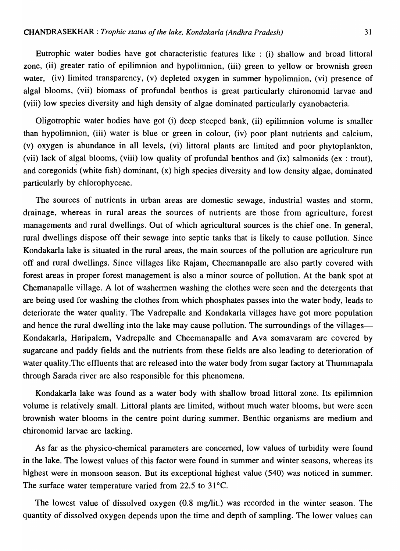Eutrophic water bodies have got characteristic features like : (i) shallow and broad littoral zone, (ii) greater ratio of epilimnion and hypolimnion, (iii) green to yellow or brownish green water, (iv) limited transparency, (v) depleted oxygen in summer hypolimnion, (vi) presence of algal blooms, (vii) biomass of profundal benthos is great particularly chironomid larvae and (viii) low species diversity and high density of algae dominated particularly cyanobacteria.

Oligotrophic water bodies have got (i) deep steeped bank, (ii) epilimnion volume is smaller than hypolimnion, (iii) water is blue or green in colour, (iv) poor plant nutrients and calcium, (v) oxygen is abundance in all levels, (vi) littoral plants are limited and poor phytoplankton, (vii) lack of algal blooms, (viii) low quality of profundal benthos and (ix) salmonids (ex: trout), and coregonids (white fish) dominant, (x) high species diversity and low density algae, dominated particularly by chlorophyceae.

The sources of nutrients in urban areas are domestic sewage, industrial wastes and storm, drainage, whereas in rural areas the sources of nutrients are those from agriculture, forest managements and rural dwellings. Out of which agricultural sources is the chief one. In general, rural dwellings dispose off their sewage into septic tanks that is likely to cause pollution. Since Kondakarla lake is situated in the rural areas, the main sources of the pollution are agriculture run off and rural dwellings. Since villages like Rajam, Cheemanapalle are also partly covered with forest areas in proper forest management is also a minor source of pollution. At the bank spot at Chemanapalle village. A lot of washermen washing the clothes were seen and the detergents that are being used for washing the clothes from which phosphates passes into the water body, leads to deteriorate the water quality. The Vadrepalle and Kondakarla villages have got more population and hence the rural dwelling into the lake may cause pollution. The surroundings of the villages-Kondakarla, Haripalem, Vadrepalle and Cheemanapalle and Ava somavaram are covered by sugarcane and paddy fields and the nutrients from these fields are also leading to deterioration of water quality.The effluents that are released into the water body from sugar factory at Thummapala through Sarada river are also responsible for this phenomena.

Kondakarla lake was found as a water body with shallow broad littoral zone. Its epilimnion volume is relatively small. Littoral plants are limited, without much water blooms, but were seen brownish water blooms in the centre point during summer. Benthic organisms are medium and chironomid larvae are lacking.

As far as the physico-chemical parameters are concerned, low values of turbidity were found in the lake. The lowest values of this factor were found in summer and winter seasons, whereas its highest were in monsoon season. But its exceptional highest value (540) was noticed in summer. The surface water temperature varied from 22.5 to 31°C.

The lowest value of dissolved oxygen  $(0.8 \text{ mg/lit.})$  was recorded in the winter season. The quantity of dissolved oxygen depends upon the time and depth of sampling. The lower values can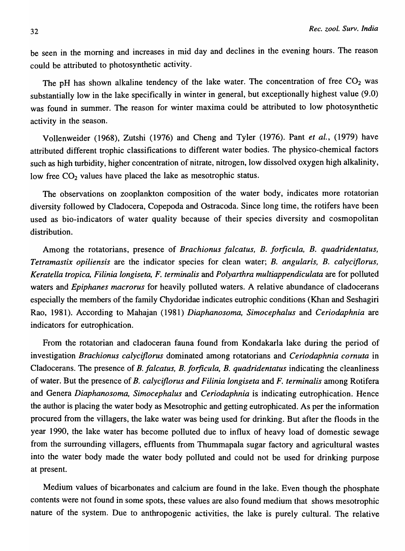be seen in the morning and increases in mid day and declines in the evening hours. The reason could be attributed to photosynthetic activity.

The pH has shown alkaline tendency of the lake water. The concentration of free  $CO<sub>2</sub>$  was substantially low in the lake specifically in winter in general, but exceptionally highest value (9.0) was found in summer. The reason for winter maxima could be attributed to low photosynthetic activity in the season.

Vollenweider (1968), Zutshi (1976) and Cheng and Tyler (1976). Pant *et aI.,* (1979) have attributed different trophic classifications to different water bodies. The physico-chemical factors such as high turbidity; higher concentration of nitrate, nitrogen, low dissolved oxygen high alkalinity, low free  $CO<sub>2</sub>$  values have placed the lake as mesotrophic status.

The observations on zooplankton composition of the water body, indicates more rotatorian diversity followed by Cladocera, Copepoda and Ostracoda. Since long time, the rotifers have been used as bio-indicators of water quality because of their species diversity and cosmopolitan distribution.

Among the rotatorians, presence of *Brachionus falcatus, B. forficula, B. quadridentatus, Tetramastix opiliensis* are the indicator species for clean water; *B. angularis, B. calyciflorus, Keratella tropica, Filinia longiseta, F. terminalis* and *Polyarthra multiappendiculata* are for polluted waters and *Epiphanes macrorus* for heavily polluted waters. A relative abundance of cladocerans especially the members of the family Chydoridae indicates eutrophic conditions (Khan and Seshagiri Rao, 1981). According to Mahajan (1981) *Diaphanosoma, Simocephalus* and *Ceriodaphnia* are indicators for eutrophication.

From the rotatorian and cladoceran fauna found from Kondakarla lake during the period of investigation *Brachionus calyciflorus* dominated among rotatorians and *Ceriodaphnia cornuta* in Cladocerans. The presence of *B. Jalcatus, B. forficula, B. quadridentatus* indicating the cleanliness of water. But the presence of *B. calyciflorus and Filinia longiseta* and *F. terminalis* among Rotifera and Genera *Diaphanosoma, Simocephalus* and *Ceriodaphnia* is indicating eutrophication. Hence the author is placing the water body as Mesotrophic and getting eutrophicated. As per the information procured from the villagers, the lake water was being used for drinking. But after the floods in the year 1990, the lake water has become polluted due to influx of heavy load of domestic sewage from the surrounding villagers, effluents from Thummapala sugar factory and agricultural wastes into the water body made the water body polluted and could not be used for drinking purpose at present.

Medium values of bicarbonates and calcium are found in the lake. Even though the phosphate contents were not found in some spots, these values are also found medium that shows mesotrophic nature of the system. Due to anthropogenic activities, the lake is purely cultural. The relative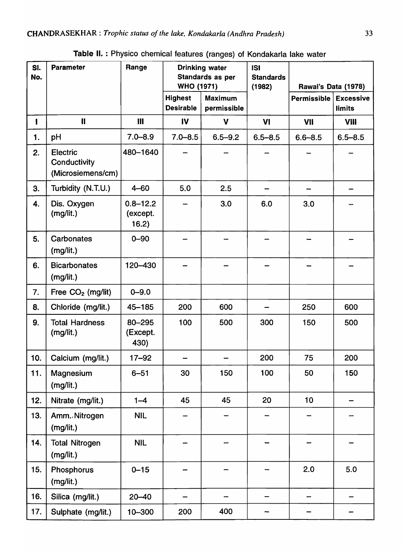| SI.<br>No. | <b>Parameter</b>                                     | Range                             | <b>WHO (1971)</b>                  | <b>Drinking water</b><br>Standards as per | <b>ISI</b><br><b>Standards</b><br>(1982) | Rawal's Data (1978) |                                   |  |  |
|------------|------------------------------------------------------|-----------------------------------|------------------------------------|-------------------------------------------|------------------------------------------|---------------------|-----------------------------------|--|--|
|            |                                                      |                                   | <b>Highest</b><br><b>Desirable</b> | <b>Maximum</b><br>permissible             |                                          | Permissible         | <b>Excessive</b><br><b>limits</b> |  |  |
| I          | $\mathbf{II}$                                        | $\mathbf{III}$                    | IV                                 | $\mathbf v$                               | VI                                       | VII                 | <b>VIII</b>                       |  |  |
| 1.         | pH                                                   | $7.0 - 8.9$                       | $7.0 - 8.5$                        | $6.5 - 9.2$                               | $6.5 - 8.5$                              | $6.6 - 8.5$         | $6.5 - 8.5$                       |  |  |
| 2.         | <b>Electric</b><br>Conductivity<br>(Microsiemens/cm) | 480-1640                          |                                    |                                           |                                          |                     |                                   |  |  |
| 3.         | Turbidity (N.T.U.)                                   | $4 - 60$                          | 5.0                                | 2.5                                       |                                          |                     |                                   |  |  |
| 4.         | Dis. Oxygen<br>(mg/lit.)                             | $0.8 - 12.2$<br>(except.<br>16.2) |                                    | 3.0                                       | 6.0                                      | 3.0                 |                                   |  |  |
| 5.         | <b>Carbonates</b><br>(mg/lit.)                       | $0 - 90$                          |                                    |                                           |                                          |                     |                                   |  |  |
| 6.         | <b>Bicarbonates</b><br>(mg/lit.)                     | 120-430                           |                                    |                                           |                                          |                     |                                   |  |  |
| 7.         | Free $CO2$ (mg/lit)                                  | $0 - 9.0$                         |                                    |                                           |                                          |                     |                                   |  |  |
| 8.         | Chloride (mg/lit.)                                   | $45 - 185$                        | 200                                | 600                                       |                                          | 250                 | 600                               |  |  |
| 9.         | <b>Total Hardness</b><br>(mg/lit.)                   | 80-295<br>(Except.<br>430)        | 100                                | 500                                       | 300                                      | 150                 | 500                               |  |  |
| 10.        | Calcium (mg/lit.)                                    | $17 - 92$                         |                                    |                                           | 200                                      | 75                  | 200                               |  |  |
| 11.        | Magnesium<br>(mg/lit.)                               | $6 - 51$                          | 30                                 | 150                                       | 100                                      | 50                  | 150                               |  |  |
| 12.        | Nitrate (mg/lit.)                                    | $1 - 4$                           | 45                                 | 45                                        | 20                                       | 10                  |                                   |  |  |
| 13.        | Amm. Nitrogen<br>(mg/lit.)                           | <b>NIL</b>                        |                                    |                                           |                                          |                     |                                   |  |  |
| 14.        | <b>Total Nitrogen</b><br>(mg/lit.)                   | <b>NIL</b>                        |                                    |                                           |                                          |                     |                                   |  |  |
| 15.        | Phosphorus<br>(mg/lit.)                              | $0 - 15$                          |                                    |                                           |                                          | 2.0                 | 5.0                               |  |  |
| 16.        | Silica (mg/lit.)                                     | $20 - 40$                         |                                    |                                           |                                          |                     |                                   |  |  |
| 17.        | Sulphate (mg/lit.)                                   | 10-300                            | 200                                | 400                                       |                                          |                     |                                   |  |  |

Table II. : Physico chemical features (ranges) of Kondakarla lake water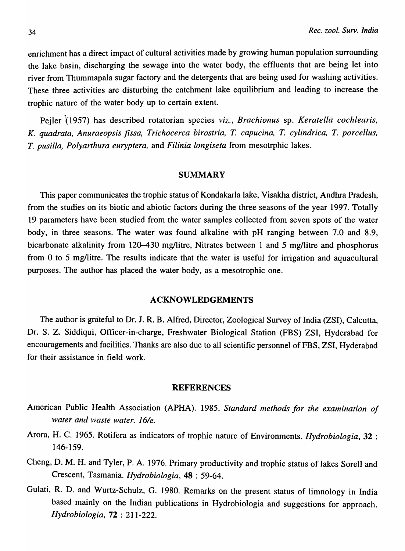enrichment has a direct impact of cultural activities made by growing human population surrounding the lake basin, discharging the sewage into the water body, the effluents that are being let into river from Thummapala sugar factory and the detergents that are being used for washing activities. These three activities are disturbing the catchment lake equilibrium and leading to increase the trophic nature of the water body up to certain extent.

Pejler (1957) has described rotatorian species *viz., Brachionus* sp. *Keratella cochlearis, K. quadrata, Anuraeopsis jissa, Trichocerca birostria, T. capucina, T. cylindrica, T. porcellus, T. pusilla, Polyarthura euryptera,* and *Filinia longiseta* from mesotrphic lakes.

#### **SUMMARY**

This paper communicates the trophic status of Kondakarla lake, Visakha district, Andhra Pradesh, from the studies on its biotic and abiotic factors during the three seasons of the year 1997. Totally 19 parameters have been studied from the water samples collected from seven spots of the water body, in three seasons. The water was found alkaline with pH ranging between 7.0 and 8.9, bicarbonate alkalinity from 120–430 mg/litre, Nitrates between 1 and 5 mg/litre and phosphorus from 0 to 5 mg/litre. The results indicate that the water is useful for irrigation and aquacultural purposes. The author has placed the water body, as a mesotrophic one.

### ACKNOWLEDGEMENTS

The author is grateful to Dr. J. R. B. Alfred, Director, Zoological Survey of India (ZSI), Calcutta, Dr. S. Z. Siddiqui, Officer-in-charge, Freshwater Biological Station (FBS) ZSI, Hyderabad for encouragements and facilities. Thanks are also due to all scientific personnel of PBS, ZSI, Hyderabad for their assistance in field work.

#### REFERENCES

- American Public Health Association (APHA). 1985. *Standard methods for the examination of water and waste water. J6/e.*
- Arora, H. C. 1965. Rotifera as indicators of trophic nature of Environments. *Hydrobiologia,* 32 : 146-159.
- Cheng, D. M. H. and Tyler, P. A. 1976. Primary productivity and trophic status of lakes Sorell and Crescent, Tasmania. *Hydrobiologia,* 48 : 59-64.
- Gulati, R. D. and Wurtz-Schulz, G. 1980. Remarks on the present status of limnology in India based mainly on the Indian publications in Hydrobiologia and suggestions for approach. *Hydrobiologia,* 72 : 211-222.